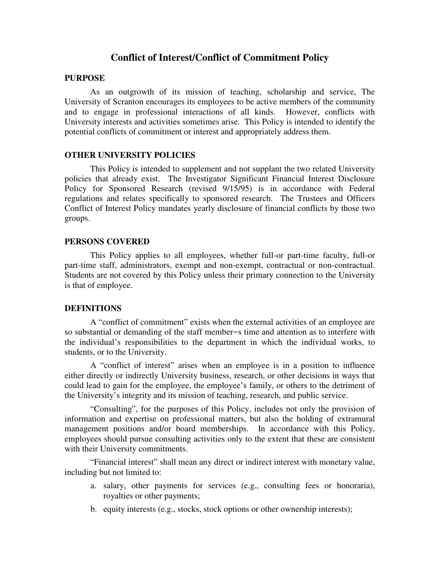# **Conflict of Interest/Conflict of Commitment Policy**

#### **PURPOSE**

As an outgrowth of its mission of teaching, scholarship and service, The University of Scranton encourages its employees to be active members of the community and to engage in professional interactions of all kinds. However, conflicts with University interests and activities sometimes arise. This Policy is intended to identify the potential conflicts of commitment or interest and appropriately address them.

### **OTHER UNIVERSITY POLICIES**

This Policy is intended to supplement and not supplant the two related University policies that already exist. The Investigator Significant Financial Interest Disclosure Policy for Sponsored Research (revised 9/15/95) is in accordance with Federal regulations and relates specifically to sponsored research. The Trustees and Officers Conflict of Interest Policy mandates yearly disclosure of financial conflicts by those two groups.

### **PERSONS COVERED**

This Policy applies to all employees, whether full-or part-time faculty, full-or part-time staff, administrators, exempt and non-exempt, contractual or non-contractual. Students are not covered by this Policy unless their primary connection to the University is that of employee.

#### **DEFINITIONS**

A "conflict of commitment" exists when the external activities of an employee are so substantial or demanding of the staff member=s time and attention as to interfere with the individual's responsibilities to the department in which the individual works, to students, or to the University.

A "conflict of interest" arises when an employee is in a position to influence either directly or indirectly University business, research, or other decisions in ways that could lead to gain for the employee, the employee's family, or others to the detriment of the University's integrity and its mission of teaching, research, and public service.

"Consulting", for the purposes of this Policy, includes not only the provision of information and expertise on professional matters, but also the holding of extramural management positions and/or board memberships. In accordance with this Policy, employees should pursue consulting activities only to the extent that these are consistent with their University commitments.

"Financial interest" shall mean any direct or indirect interest with monetary value, including but not limited to:

- a. salary, other payments for services (e.g., consulting fees or honoraria), royalties or other payments;
- b. equity interests (e.g., stocks, stock options or other ownership interests);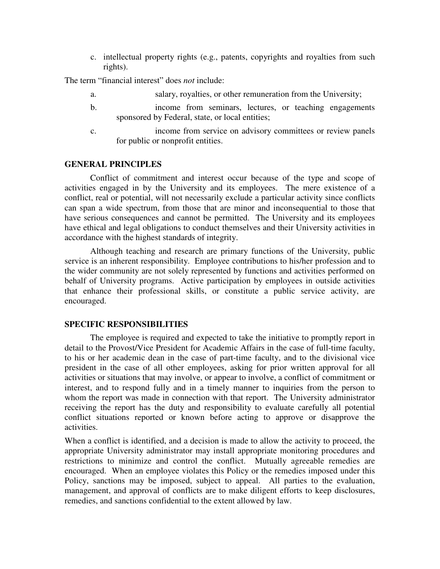c. intellectual property rights (e.g., patents, copyrights and royalties from such rights).

The term "financial interest" does *not* include:

- a. salary, royalties, or other remuneration from the University;
- b. income from seminars, lectures, or teaching engagements sponsored by Federal, state, or local entities;
- c. income from service on advisory committees or review panels for public or nonprofit entities.

### **GENERAL PRINCIPLES**

Conflict of commitment and interest occur because of the type and scope of activities engaged in by the University and its employees. The mere existence of a conflict, real or potential, will not necessarily exclude a particular activity since conflicts can span a wide spectrum, from those that are minor and inconsequential to those that have serious consequences and cannot be permitted. The University and its employees have ethical and legal obligations to conduct themselves and their University activities in accordance with the highest standards of integrity.

Although teaching and research are primary functions of the University, public service is an inherent responsibility. Employee contributions to his/her profession and to the wider community are not solely represented by functions and activities performed on behalf of University programs. Active participation by employees in outside activities that enhance their professional skills, or constitute a public service activity, are encouraged.

#### **SPECIFIC RESPONSIBILITIES**

The employee is required and expected to take the initiative to promptly report in detail to the Provost/Vice President for Academic Affairs in the case of full-time faculty, to his or her academic dean in the case of part-time faculty, and to the divisional vice president in the case of all other employees, asking for prior written approval for all activities or situations that may involve, or appear to involve, a conflict of commitment or interest, and to respond fully and in a timely manner to inquiries from the person to whom the report was made in connection with that report. The University administrator receiving the report has the duty and responsibility to evaluate carefully all potential conflict situations reported or known before acting to approve or disapprove the activities.

When a conflict is identified, and a decision is made to allow the activity to proceed, the appropriate University administrator may install appropriate monitoring procedures and restrictions to minimize and control the conflict. Mutually agreeable remedies are encouraged. When an employee violates this Policy or the remedies imposed under this Policy, sanctions may be imposed, subject to appeal. All parties to the evaluation, management, and approval of conflicts are to make diligent efforts to keep disclosures, remedies, and sanctions confidential to the extent allowed by law.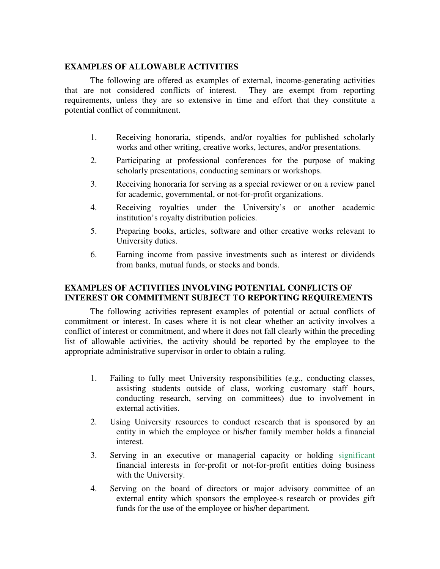## **EXAMPLES OF ALLOWABLE ACTIVITIES**

The following are offered as examples of external, income-generating activities that are not considered conflicts of interest. They are exempt from reporting requirements, unless they are so extensive in time and effort that they constitute a potential conflict of commitment.

- 1. Receiving honoraria, stipends, and/or royalties for published scholarly works and other writing, creative works, lectures, and/or presentations.
- 2. Participating at professional conferences for the purpose of making scholarly presentations, conducting seminars or workshops.
- 3. Receiving honoraria for serving as a special reviewer or on a review panel for academic, governmental, or not-for-profit organizations.
- 4. Receiving royalties under the University's or another academic institution's royalty distribution policies.
- 5. Preparing books, articles, software and other creative works relevant to University duties.
- 6. Earning income from passive investments such as interest or dividends from banks, mutual funds, or stocks and bonds.

## **EXAMPLES OF ACTIVITIES INVOLVING POTENTIAL CONFLICTS OF INTEREST OR COMMITMENT SUBJECT TO REPORTING REQUIREMENTS**

The following activities represent examples of potential or actual conflicts of commitment or interest. In cases where it is not clear whether an activity involves a conflict of interest or commitment, and where it does not fall clearly within the preceding list of allowable activities, the activity should be reported by the employee to the appropriate administrative supervisor in order to obtain a ruling.

- 1. Failing to fully meet University responsibilities (e.g., conducting classes, assisting students outside of class, working customary staff hours, conducting research, serving on committees) due to involvement in external activities.
- 2. Using University resources to conduct research that is sponsored by an entity in which the employee or his/her family member holds a financial interest.
- 3. Serving in an executive or managerial capacity or holding significant financial interests in for-profit or not-for-profit entities doing business with the University.
- 4. Serving on the board of directors or major advisory committee of an external entity which sponsors the employee-s research or provides gift funds for the use of the employee or his/her department.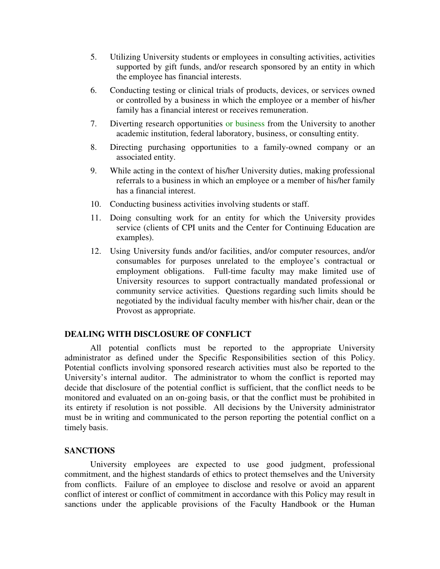- 5. Utilizing University students or employees in consulting activities, activities supported by gift funds, and/or research sponsored by an entity in which the employee has financial interests.
- 6. Conducting testing or clinical trials of products, devices, or services owned or controlled by a business in which the employee or a member of his/her family has a financial interest or receives remuneration.
- 7. Diverting research opportunities or business from the University to another academic institution, federal laboratory, business, or consulting entity.
- 8. Directing purchasing opportunities to a family-owned company or an associated entity.
- 9. While acting in the context of his/her University duties, making professional referrals to a business in which an employee or a member of his/her family has a financial interest.
- 10. Conducting business activities involving students or staff.
- 11. Doing consulting work for an entity for which the University provides service (clients of CPI units and the Center for Continuing Education are examples).
- 12. Using University funds and/or facilities, and/or computer resources, and/or consumables for purposes unrelated to the employee's contractual or employment obligations. Full-time faculty may make limited use of University resources to support contractually mandated professional or community service activities. Questions regarding such limits should be negotiated by the individual faculty member with his/her chair, dean or the Provost as appropriate.

## **DEALING WITH DISCLOSURE OF CONFLICT**

All potential conflicts must be reported to the appropriate University administrator as defined under the Specific Responsibilities section of this Policy. Potential conflicts involving sponsored research activities must also be reported to the University's internal auditor. The administrator to whom the conflict is reported may decide that disclosure of the potential conflict is sufficient, that the conflict needs to be monitored and evaluated on an on-going basis, or that the conflict must be prohibited in its entirety if resolution is not possible. All decisions by the University administrator must be in writing and communicated to the person reporting the potential conflict on a timely basis.

## **SANCTIONS**

University employees are expected to use good judgment, professional commitment, and the highest standards of ethics to protect themselves and the University from conflicts. Failure of an employee to disclose and resolve or avoid an apparent conflict of interest or conflict of commitment in accordance with this Policy may result in sanctions under the applicable provisions of the Faculty Handbook or the Human